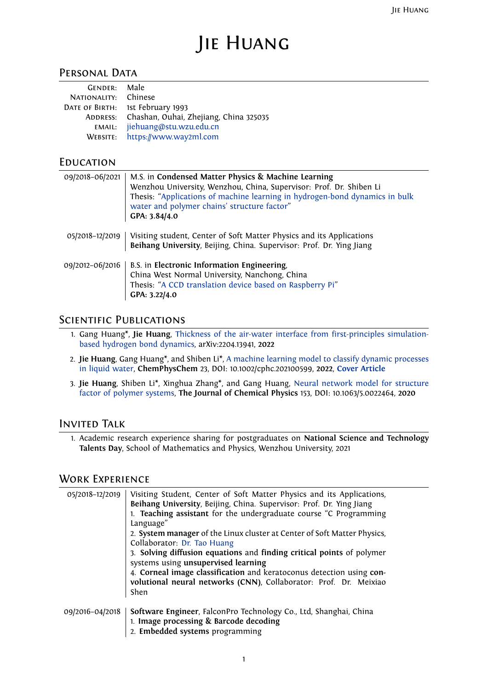# Jie Huang

## PERSONAL DATA

| GENDER: Male         |                                                 |
|----------------------|-------------------------------------------------|
| NATIONALITY: Chinese |                                                 |
|                      | DATE OF BIRTH: 1st February 1993                |
|                      | ADDRESS: Chashan, Ouhai, Zhejiang, China 325035 |
|                      | EMAIL: jiehuang@stu.wzu.edu.cn                  |
|                      | WEBSITE: https://www.way2ml.com                 |

## **EDUCATION**

| 09/2018-06/2021 | M.S. in Condensed Matter Physics & Machine Learning<br>Wenzhou University, Wenzhou, China, Supervisor: Prof. Dr. Shiben Li<br>Thesis: "Applications of machine learning in hydrogen-bond dynamics in bulk<br>water and polymer chains' structure factor"<br>GPA: 3.84/4.0 |
|-----------------|---------------------------------------------------------------------------------------------------------------------------------------------------------------------------------------------------------------------------------------------------------------------------|
| 05/2018-12/2019 | Visiting student, Center of Soft Matter Physics and its Applications<br>Beihang University, Beijing, China. Supervisor: Prof. Dr. Ying Jiang                                                                                                                              |
| 09/2012-06/2016 | B.S. in Electronic Information Engineering,<br>China West Normal University, Nanchong, China<br>Thesis: "A CCD translation device based on Raspberry Pi"<br>GPA: 3.22/4.0                                                                                                 |

# SCIENTIFIC PUBLICATIONS

- 1. Gang Huang\*, **Jie Huang**, Thickness of the air-water interface from first-principles simulationbased hydrogen bond dynamics, arXiv:2204.13941, **2022**
- 2. **Jie Huang**, Gang Huang\*, and Shiben Li\*, A machine learning model to classify dynamic processes in liquid water, **ChemPhysChem** [23, DOI: 10.1002/cphc.202100599,](https://arxiv.org/abs/2204.13941) **2022**, **Cover Article**
- 3. **Jie Huang**[, Shiben Li\\*, Xinghua](https://arxiv.org/abs/2204.13941) Zhang\*, and Gang Huang, Neural network model for structure factor of polymer systems, **The Journal of Chemical Physics** [153, DOI: 10.1063/5.0022464,](https://chemistry-europe.onlinelibrary.wiley.com/doi/abs/10.1002/cphc.202100599) **2020**

## Invited Talk

1. [Academic research experie](https://aip.scitation.org/doi/10.1063/5.0022464)nce sharing for postgraduates on **National Science and Technology Talents Day**, School of Mathematics and Physics, Wenzhou University, 2021

## Work Experience

| 05/2018-12/2019 | Visiting Student, Center of Soft Matter Physics and its Applications,<br>Beihang University, Beijing, China. Supervisor: Prof. Dr. Ying Jiang<br>1. Teaching assistant for the undergraduate course "C Programming<br>Language"<br>2. System manager of the Linux cluster at Center of Soft Matter Physics,<br>Collaborator: Dr. Tao Huang<br>3. Solving diffusion equations and finding critical points of polymer<br>systems using unsupervised learning |
|-----------------|------------------------------------------------------------------------------------------------------------------------------------------------------------------------------------------------------------------------------------------------------------------------------------------------------------------------------------------------------------------------------------------------------------------------------------------------------------|
|                 | 4. Corneal image classification and keratoconus detection using con-<br>volutional neural networks (CNN), Collaborator: Prof. Dr. Meixiao<br>Shen                                                                                                                                                                                                                                                                                                          |
| 09/2016-04/2018 | Software Engineer, FalconPro Technology Co., Ltd, Shanghai, China<br>1. Image processing & Barcode decoding<br>2. Embedded systems programming                                                                                                                                                                                                                                                                                                             |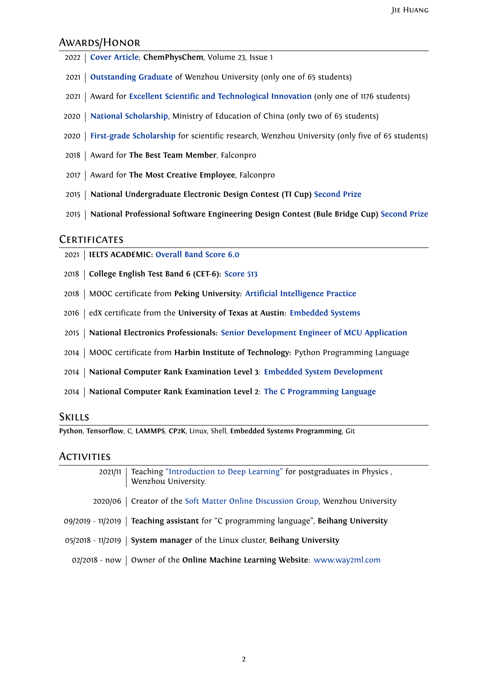#### Awards/Honor

- **Cover Article**; **ChemPhysChem**, Volume 23, Issue 1
- **Outstanding Graduate** of Wenzhou University (only one of 65 students)
- [Award for](https://chemistry-europe.onlinelibrary.wiley.com/doi/full/10.1002/cphc.202100867) **Excellent Scientific and Technological Innovation** (only one of 1176 students)
- **[National Scholarship](https://nbviewer.org/github/HuangJiaLian/DataBase0/blob/9d45d2d591813a771e408be12a8b8f3a1b06cd44/uPic/2021_11_26_10_1.pdf)**, Ministry of Education of China (only two of 65 students)
- **First-grade Scholarship** [for scientific research, Wenzhou Univ](https://nbviewer.org/github/HuangJiaLian/DataBase0/blob/a069cea80af4ab070c9214480c666d4de1e5a054/uPic/2021_11_26_10_3.pdf)ersity (only five of 65 students)
- Award for **[The Best Te](https://nbviewer.org/github/HuangJiaLian/DataBase0/blob/84275fe6b9b504ce06b182972187707c372b4123/uPic/2021_11_26_10_N.pdf)am Member**, Falconpro
- Award for **[The Most Cre](https://nbviewer.org/github/HuangJiaLian/DataBase0/blob/ca47411a77d87d5af5ebc2c175a9b334642c6f48/uPic/2021_11_26_10_4.pdf)ative Employee**, Falconpro
- **National Undergraduate Electronic Design Contest (TI Cup) Second Prize**
- **National Professional Software Engineering Design Contest (Bule Bridge Cup) Second Prize**

## **CERTIFICATES**

- **IELTS ACADEMIC: Overall Band Score 6.0**
- **College English Test Band 6 (CET-6): Score 513**
- MOOC certificate from **[Peking University](https://nbviewer.org/github/HuangJiaLian/DataBase0/blob/cd031badd0d3f5841b182a9bf8b0a2daa9b96f84/uPic/2021_12_04_15_IELTS.pdf): Artificial Intelligence Practice**
- edX certificate from the **Universityo[f Texas at](https://nbviewer.org/github/HuangJiaLian/DataBase0/blob/fc6547e18e86cdb0584c398827f9f83a50d3c04b/uPic/2021_12_04_15_CET6.pdf) Austin: Embedded Systems**
- **National Electronics Professionals: Senior [Development Engineer of MCU](https://nbviewer.org/github/HuangJiaLian/DataBase0/blob/edd29a7b30885820fabc6720dac9bd56c0cb9851/uPic/2021_11_26_10_Peking_AI.png) Application**
- MOOC certificate from **Harbin Institute of Technology:** [Python Programm](https://nbviewer.org/github/HuangJiaLian/DataBase0/blob/37d6fc3eadd7a5276f030f00b0a618de66df0e78/uPic/2021_11_26_09_UTAustinX_UT.6.03x_Certificate_edX.pdf)ing Language
- **National Computer Rank Examination Level 3**: **[Embedded System Development](https://nbviewer.org/github/HuangJiaLian/DataBase0/blob/f0bbfb6e2f2189b6ae0c43100579b9605faed6a6/uPic/2021_11_26_12_8.png)**
- **National Computer Rank Examination Level 2**: **The C Programming Language**

### Skills

**Python**, **Tensorflow**, C, **LAMMPS**, **CP2K**, Linux, Shell, **Embedde[d Systems Programming](https://nbviewer.org/github/HuangJiaLian/DataBase0/blob/c19c03dbdc866420984cbe97a48893b40c02fa78/uPic/2021_11_26_11_5.png)**, Git

## Activities

2021/11 | Teaching "Introduction to Deep Learning" for postgraduates in Physics, Wenzhou University. 2020/06 Creator of the Soft Matter Online Discussion Group, Wenzhou University 09/2019 - 11/2019 **Teaching assistant** for "C programming language", **Beihang University** 05/2018 - 11/2019 **System manager** [of the Linux cluster,](https://github.com/HuangJiaLian/SoftMatterDiscuss) **Beihang University** 02/2018 - now Owner of the **Online Machine Learning Website**: www.way2ml.com